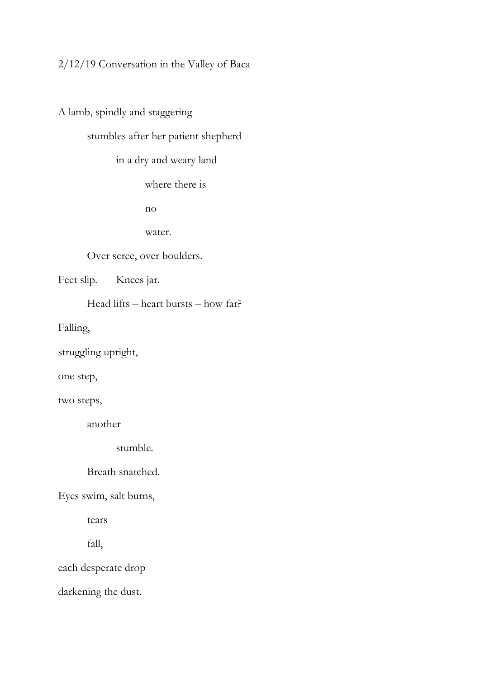## 2/12/19 Conversation in the Valley of Baca

A lamb, spindly and staggering

stumbles after her patient shepherd

in a dry and weary land

where there is

no

water.

Over scree, over boulders.

Feet slip. Knees jar.

Head lifts – heart bursts – how far?

Falling,

struggling upright,

one step,

two steps,

another

stumble.

Breath snatched.

Eyes swim, salt burns,

tears

fall,

each desperate drop

darkening the dust.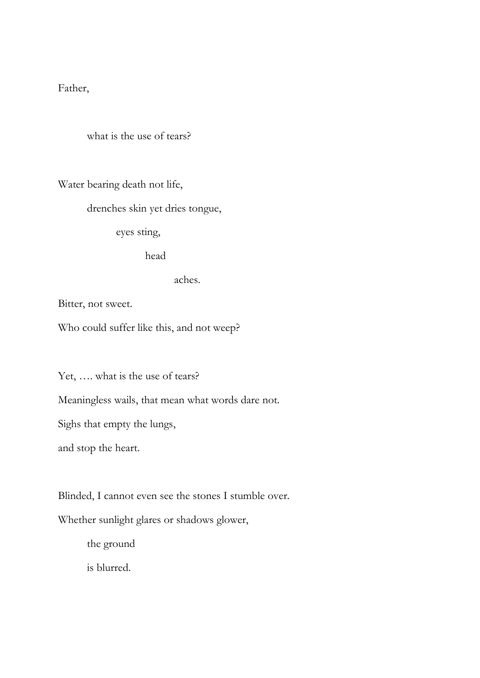Father,

what is the use of tears?

Water bearing death not life,

drenches skin yet dries tongue,

eyes sting,

head

aches.

Bitter, not sweet.

Who could suffer like this, and not weep?

Yet, .... what is the use of tears?

Meaningless wails, that mean what words dare not.

Sighs that empty the lungs,

and stop the heart.

Blinded, I cannot even see the stones I stumble over.

Whether sunlight glares or shadows glower,

the ground

is blurred.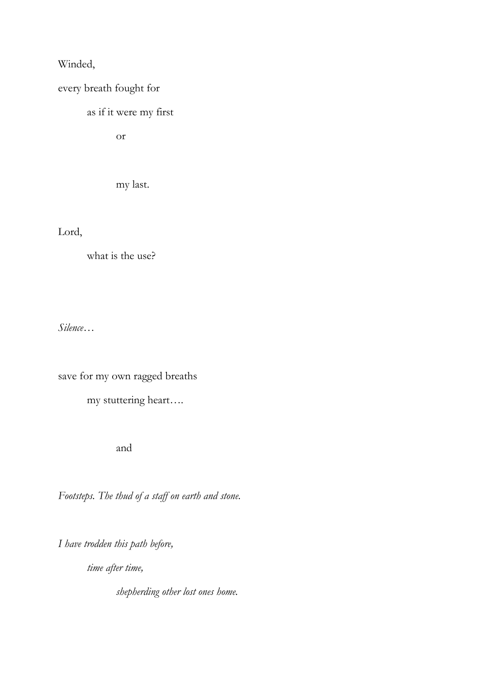Winded,

every breath fought for

as if it were my first

or

my last.

Lord,

what is the use?

*Silence…*

save for my own ragged breaths

my stuttering heart….

and

*Footsteps. The thud of a staff on earth and stone.*

*I have trodden this path before,*

*time after time,*

*shepherding other lost ones home.*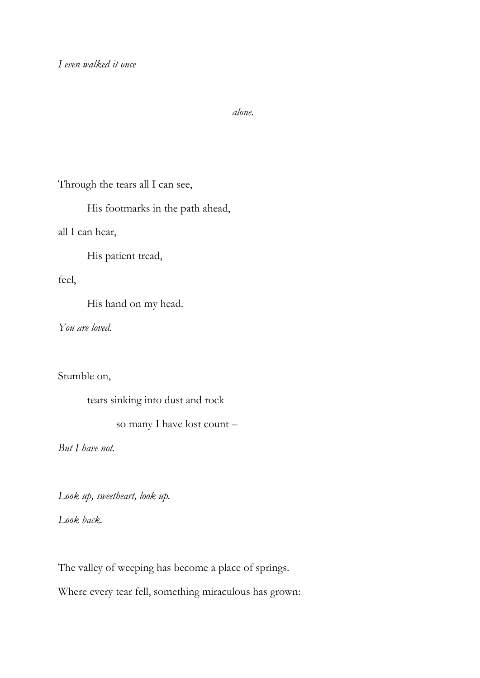*alone.*

Through the tears all I can see,

His footmarks in the path ahead,

all I can hear,

His patient tread,

feel,

His hand on my head.

*You are loved.*

Stumble on,

tears sinking into dust and rock

so many I have lost count –

*But I have not.*

*Look up, sweetheart, look up.* 

*Look back.*

The valley of weeping has become a place of springs. Where every tear fell, something miraculous has grown: